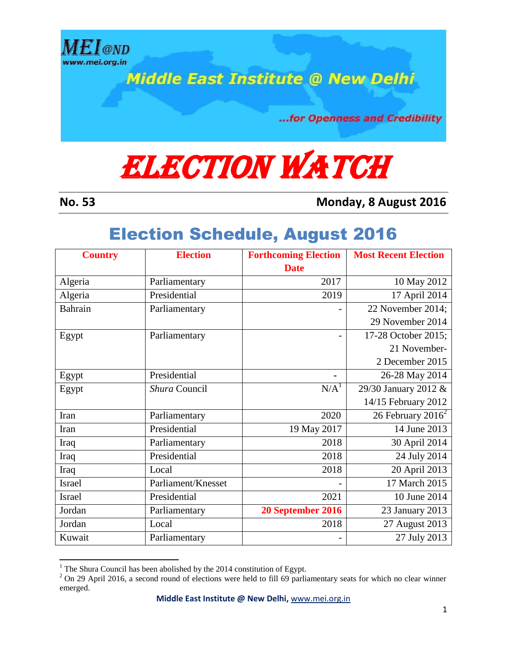

**Middle East Institute @ New Delhi** 

...for Openness and Credibility

## **ELECTION WATCH**

 $\overline{a}$ 

**No. 53 Monday, 8 August 2016**

## Election Schedule, August 2016

| <b>Country</b> | <b>Election</b>    | <b>Forthcoming Election</b> | <b>Most Recent Election</b> |
|----------------|--------------------|-----------------------------|-----------------------------|
|                |                    | <b>Date</b>                 |                             |
| Algeria        | Parliamentary      | 2017                        | 10 May 2012                 |
| Algeria        | Presidential       | 2019                        | 17 April 2014               |
| Bahrain        | Parliamentary      |                             | 22 November 2014;           |
|                |                    |                             | 29 November 2014            |
| Egypt          | Parliamentary      |                             | 17-28 October 2015;         |
|                |                    |                             | 21 November-                |
|                |                    |                             | 2 December 2015             |
| Egypt          | Presidential       |                             | 26-28 May 2014              |
| Egypt          | Shura Council      | N/A <sup>1</sup>            | 29/30 January 2012 &        |
|                |                    |                             | 14/15 February 2012         |
| Iran           | Parliamentary      | 2020                        | 26 February $2016^2$        |
| Iran           | Presidential       | 19 May 2017                 | 14 June 2013                |
| Iraq           | Parliamentary      | 2018                        | 30 April 2014               |
| Iraq           | Presidential       | 2018                        | 24 July 2014                |
| Iraq           | Local              | 2018                        | 20 April 2013               |
| Israel         | Parliament/Knesset |                             | 17 March 2015               |
| <b>Israel</b>  | Presidential       | 2021                        | 10 June 2014                |
| Jordan         | Parliamentary      | 20 September 2016           | 23 January 2013             |
| Jordan         | Local              | 2018                        | 27 August 2013              |
| Kuwait         | Parliamentary      |                             | 27 July 2013                |

<sup>&</sup>lt;sup>1</sup> The Shura Council has been abolished by the 2014 constitution of Egypt.

 $2$  On 29 April 2016, a second round of elections were held to fill 69 parliamentary seats for which no clear winner emerged.